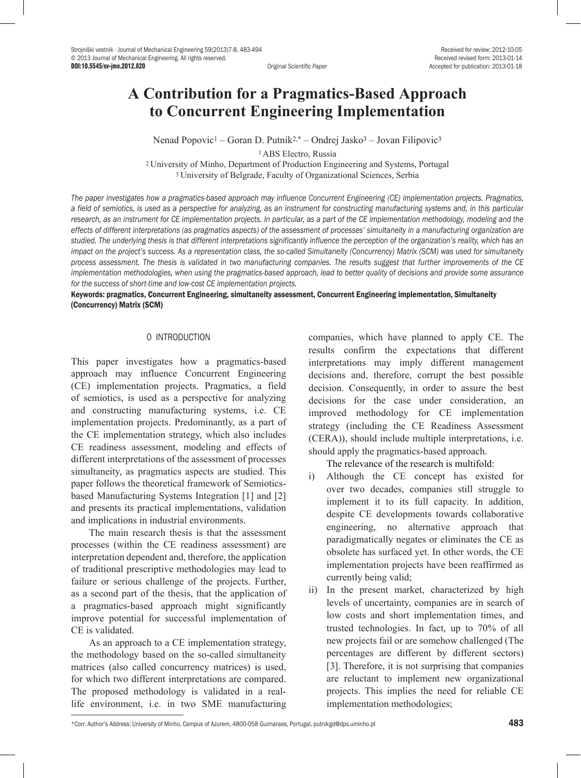# **A Contribution for a Pragmatics-Based Approach to Concurrent Engineering Implementation**

Nenad Popovic1 – Goran D. Putnik2,\* – Ondrej Jasko3 – Jovan Filipovic3

1 ABS Electro, Russia

2 University of Minho, Department of Production Engineering and Systems, Portugal 3 University of Belgrade, Faculty of Organizational Sciences, Serbia

The paper investigates how a pragmatics-based approach may influence Concurrent Engineering (CE) implementation projects. Pragmatics, *a field of semiotics, is used as a perspective for analyzing, as an instrument for constructing manufacturing systems and, in this particular research, as an instrument for CE implementation projects. In particular, as a part of the CE implementation methodology, modeling and the effects of different interpretations (as pragmatics aspects) of the assessment of processes' simultaneity in a manufacturing organization are studied. The underlying thesis is that different interpretations significantly influence the perception of the organization's reality, which has an impact on the project's success. As a representation class, the so-called Simultaneity (Concurrency) Matrix (SCM) was used for simultaneity process assessment. The thesis is validated in two manufacturing companies. The results suggest that further improvements of the CE implementation methodologies, when using the pragmatics-based approach, lead to better quality of decisions and provide some assurance for the success of short-time and low-cost CE implementation projects.*

Keywords: pragmatics, Concurrent Engineering, simultaneity assessment, Concurrent Engineering implementation, Simultaneity (Concurrency) Matrix (SCM)

### 0 INTRODUCTION

This paper investigates how a pragmatics-based approach may influence Concurrent Engineering (CE) implementation projects. Pragmatics, a field of semiotics, is used as a perspective for analyzing and constructing manufacturing systems, i.e. CE implementation projects. Predominantly, as a part of the CE implementation strategy, which also includes CE readiness assessment, modeling and effects of different interpretations of the assessment of processes simultaneity, as pragmatics aspects are studied. This paper follows the theoretical framework of Semioticsbased Manufacturing Systems Integration [1] and [2] and presents its practical implementations, validation and implications in industrial environments.

The main research thesis is that the assessment processes (within the CE readiness assessment) are interpretation dependent and, therefore, the application of traditional prescriptive methodologies may lead to failure or serious challenge of the projects. Further, as a second part of the thesis, that the application of a pragmatics-based approach might significantly improve potential for successful implementation of CE is validated.

As an approach to a CE implementation strategy, the methodology based on the so-called simultaneity matrices (also called concurrency matrices) is used, for which two different interpretations are compared. The proposed methodology is validated in a reallife environment, i.e. in two SME manufacturing companies, which have planned to apply CE. The results confirm the expectations that different interpretations may imply different management decisions and, therefore, corrupt the best possible decision. Consequently, in order to assure the best decisions for the case under consideration, an improved methodology for CE implementation strategy (including the CE Readiness Assessment (CERA)), should include multiple interpretations, i.e. should apply the pragmatics-based approach.

The relevance of the research is multifold:

- i) Although the CE concept has existed for over two decades, companies still struggle to implement it to its full capacity. In addition, despite CE developments towards collaborative engineering, no alternative approach that paradigmatically negates or eliminates the CE as obsolete has surfaced yet. In other words, the CE implementation projects have been reaffirmed as currently being valid;
- ii) In the present market, characterized by high levels of uncertainty, companies are in search of low costs and short implementation times, and trusted technologies. In fact, up to 70% of all new projects fail or are somehow challenged (The percentages are different by different sectors) [3]. Therefore, it is not surprising that companies are reluctant to implement new organizational projects. This implies the need for reliable CE implementation methodologies;

<sup>\*</sup>Corr. Author's Address: University of Minho, Campus of Azurem, 4800-058 Guimaraes, Portugal, putnikgd@dps.uminho.pt 483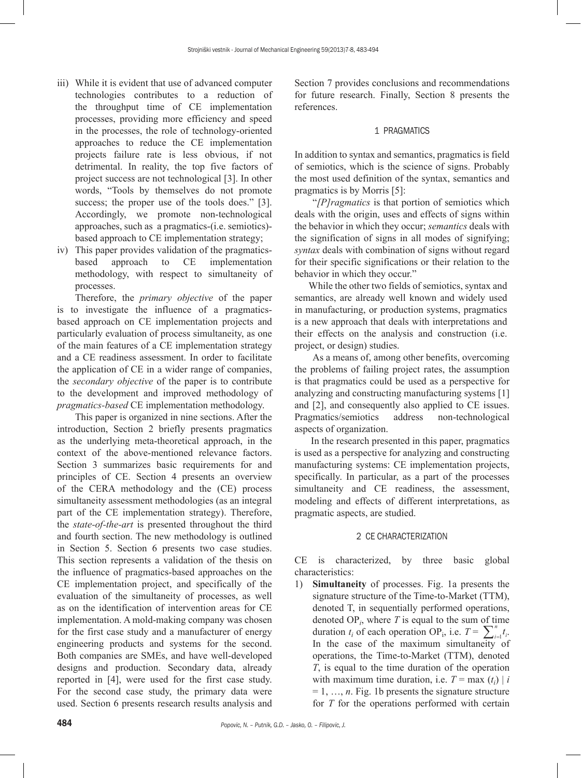- iii) While it is evident that use of advanced computer technologies contributes to a reduction of the throughput time of CE implementation processes, providing more efficiency and speed in the processes, the role of technology-oriented approaches to reduce the CE implementation projects failure rate is less obvious, if not detrimental. In reality, the top five factors of project success are not technological [3]. In other words, "Tools by themselves do not promote success; the proper use of the tools does." [3]. Accordingly, we promote non-technological approaches, such as a pragmatics-(i.e. semiotics) based approach to CE implementation strategy;
- iv) This paper provides validation of the pragmaticsbased approach to CE implementation methodology, with respect to simultaneity of processes.

Therefore, the *primary objective* of the paper is to investigate the influence of a pragmaticsbased approach on CE implementation projects and particularly evaluation of process simultaneity, as one of the main features of a CE implementation strategy and a CE readiness assessment. In order to facilitate the application of CE in a wider range of companies, the *secondary objective* of the paper is to contribute to the development and improved methodology of *pragmatics-based* CE implementation methodology.

This paper is organized in nine sections. After the introduction, Section 2 briefly presents pragmatics as the underlying meta-theoretical approach, in the context of the above-mentioned relevance factors. Section 3 summarizes basic requirements for and principles of CE. Section 4 presents an overview of the CERA methodology and the (CE) process simultaneity assessment methodologies (as an integral part of the CE implementation strategy). Therefore, the *state-of-the-art* is presented throughout the third and fourth section. The new methodology is outlined in Section 5. Section 6 presents two case studies. This section represents a validation of the thesis on the influence of pragmatics-based approaches on the CE implementation project, and specifically of the evaluation of the simultaneity of processes, as well as on the identification of intervention areas for CE implementation. A mold-making company was chosen for the first case study and a manufacturer of energy engineering products and systems for the second. Both companies are SMEs, and have well-developed designs and production. Secondary data, already reported in [4], were used for the first case study. For the second case study, the primary data were used. Section 6 presents research results analysis and

In the case of the maximum simultaneity of operations, the Time-to-Market (TTM), denoted *T*, is equal to the time duration of the operation with maximum time duration, i.e.  $T = \max(t_i) | i$  $= 1, \ldots, n$ . Fig. 1b presents the signature structure for *T* for the operations performed with certain

Section 7 provides conclusions and recommendations for future research. Finally, Section 8 presents the references.

# 1 PRAGMATICS

In addition to syntax and semantics, pragmatics is field of semiotics, which is the science of signs. Probably the most used definition of the syntax, semantics and pragmatics is by Morris [5]:

"*[P]ragmatics* is that portion of semiotics which deals with the origin, uses and effects of signs within the behavior in which they occur; *semantics* deals with the signification of signs in all modes of signifying; *syntax* deals with combination of signs without regard for their specific significations or their relation to the behavior in which they occur."

While the other two fields of semiotics, syntax and semantics, are already well known and widely used in manufacturing, or production systems, pragmatics is a new approach that deals with interpretations and their effects on the analysis and construction (i.e. project, or design) studies.

As a means of, among other benefits, overcoming the problems of failing project rates, the assumption is that pragmatics could be used as a perspective for analyzing and constructing manufacturing systems [1] and [2], and consequently also applied to CE issues. Pragmatics/semiotics address non-technological aspects of organization.

In the research presented in this paper, pragmatics is used as a perspective for analyzing and constructing manufacturing systems: CE implementation projects, specifically. In particular, as a part of the processes simultaneity and CE readiness, the assessment, modeling and effects of different interpretations, as pragmatic aspects, are studied.

## 2 CE CHARACTERIZATION

CE is characterized, by three basic global characteristics: 1) **Simultaneity** of processes. Fig. 1a presents the

signature structure of the Time-to-Market (TTM), denoted T, in sequentially performed operations, denoted  $OP_i$ , where *T* is equal to the sum of time duration  $t_i$  of each operation OP<sub>i</sub>, i.e.  $T = \sum_{i=1}^{n} t_i$ .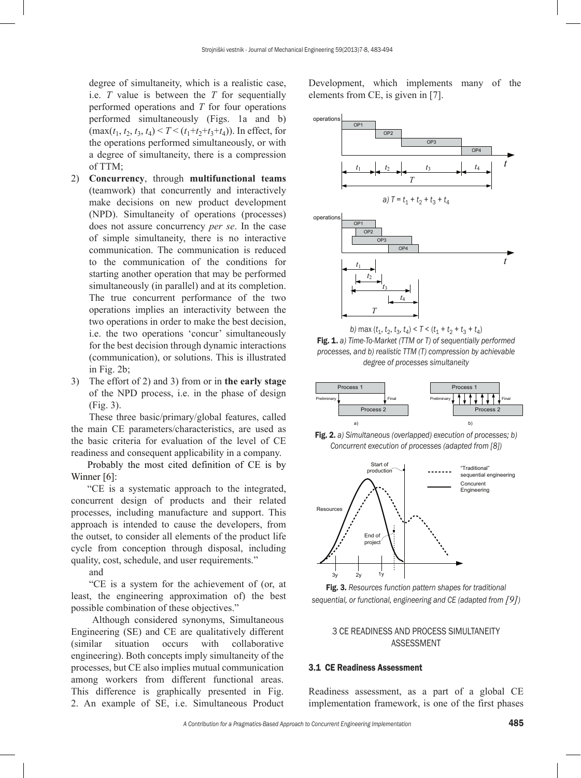degree of simultaneity, which is a realistic case, i.e. *T* value is between the *T* for sequentially performed operations and *T* for four operations performed simultaneously (Figs. 1a and b)  $(\max(t_1, t_2, t_3, t_4) \leq T \leq (t_1 + t_2 + t_3 + t_4))$ . In effect, for the operations performed simultaneously, or with a degree of simultaneity, there is a compression of TTM;

- 2) **Concurrency**, through **multifunctional teams** (teamwork) that concurrently and interactively make decisions on new product development (NPD). Simultaneity of operations (processes) does not assure concurrency *per se*. In the case of simple simultaneity, there is no interactive communication. The communication is reduced to the communication of the conditions for starting another operation that may be performed simultaneously (in parallel) and at its completion. The true concurrent performance of the two operations implies an interactivity between the two operations in order to make the best decision, i.e. the two operations 'concur' simultaneously for the best decision through dynamic interactions (communication), or solutions. This is illustrated in Fig. 2b;
- 3) The effort of 2) and 3) from or in **the early stage** of the NPD process, i.e. in the phase of design (Fig. 3).

These three basic/primary/global features, called the main CE parameters/characteristics, are used as the basic criteria for evaluation of the level of CE readiness and consequent applicability in a company.

Probably the most cited definition of CE is by Winner [6]:

"CE is a systematic approach to the integrated, concurrent design of products and their related processes, including manufacture and support. This approach is intended to cause the developers, from the outset, to consider all elements of the product life cycle from conception through disposal, including quality, cost, schedule, and user requirements."

and

"CE is a system for the achievement of (or, at least, the engineering approximation of) the best possible combination of these objectives."

Although considered synonyms, Simultaneous Engineering (SE) and CE are qualitatively different (similar situation occurs with collaborative engineering). Both concepts imply simultaneity of the processes, but CE also implies mutual communication among workers from different functional areas. This difference is graphically presented in Fig. 2. An example of SE, i.e. Simultaneous Product Development, which implements many of the elements from CE, is given in [7].



*b*) max  $(t_1, t_2, t_3, t_4) < T < (t_1 + t_2 + t_3 + t_4)$ Fig. 1. *a) Time-To-Market (TTM or T) of sequentially performed processes, and b) realistic TTM (T) compression by achievable degree of processes simultaneity*



Fig. 2. *a) Simultaneous (overlapped) execution of processes; b) Concurrent execution of processes (adapted from [8])*



Fig. 3. *Resources function pattern shapes for traditional sequential, or functional, engineering and CE (adapted from [9])*

# 3 CE READINESS AND PROCESS SIMULTANEITY ASSESSMENT

## 3.1 CE Readiness Assessment

Readiness assessment, as a part of a global CE implementation framework, is one of the first phases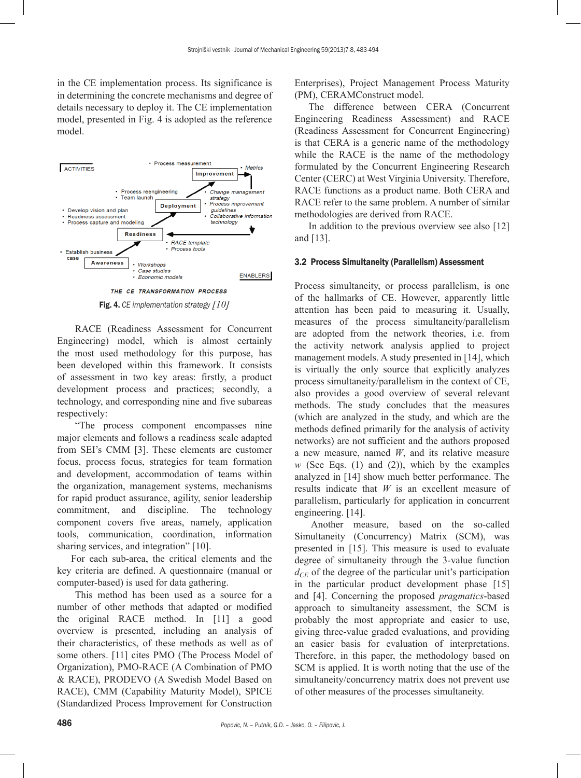in the CE implementation process. Its significance is in determining the concrete mechanisms and degree of details necessary to deploy it. The CE implementation model, presented in Fig. 4 is adopted as the reference model.



Fig. 4. *CE implementation strategy [10]*

RACE (Readiness Assessment for Concurrent Engineering) model, which is almost certainly the most used methodology for this purpose, has been developed within this framework. It consists of assessment in two key areas: firstly, a product development process and practices; secondly, a technology, and corresponding nine and five subareas respectively:

"The process component encompasses nine major elements and follows a readiness scale adapted from SEI's CMM [3]. These elements are customer focus, process focus, strategies for team formation and development, accommodation of teams within the organization, management systems, mechanisms for rapid product assurance, agility, senior leadership commitment, and discipline. The technology component covers five areas, namely, application tools, communication, coordination, information sharing services, and integration" [10].

For each sub-area, the critical elements and the key criteria are defined. A questionnaire (manual or computer-based) is used for data gathering.

This method has been used as a source for a number of other methods that adapted or modified the original RACE method. In [11] a good overview is presented, including an analysis of their characteristics, of these methods as well as of some others. [11] cites PMO (The Process Model of Organization), PMO-RACE (A Combination of PMO & RACE), PRODEVO (A Swedish Model Based on RACE), CMM (Capability Maturity Model), SPICE (Standardized Process Improvement for Construction Enterprises), Project Management Process Maturity (PM), CERAMConstruct model.

The difference between CERA (Concurrent Engineering Readiness Assessment) and RACE (Readiness Assessment for Concurrent Engineering) is that CERA is a generic name of the methodology while the RACE is the name of the methodology formulated by the Concurrent Engineering Research Center (CERC) at West Virginia University. Therefore, RACE functions as a product name. Both CERA and RACE refer to the same problem. A number of similar methodologies are derived from RACE.

In addition to the previous overview see also [12] and [13].

#### 3.2 Process Simultaneity (Parallelism) Assessment

Process simultaneity, or process parallelism, is one of the hallmarks of CE. However, apparently little attention has been paid to measuring it. Usually, measures of the process simultaneity/parallelism are adopted from the network theories, i.e. from the activity network analysis applied to project management models. A study presented in [14], which is virtually the only source that explicitly analyzes process simultaneity/parallelism in the context of CE, also provides a good overview of several relevant methods. The study concludes that the measures (which are analyzed in the study, and which are the methods defined primarily for the analysis of activity networks) are not sufficient and the authors proposed a new measure, named *W*, and its relative measure *w* (See Eqs. (1) and (2)), which by the examples analyzed in [14] show much better performance. The results indicate that *W* is an excellent measure of parallelism, particularly for application in concurrent engineering. [14].

Another measure, based on the so-called Simultaneity (Concurrency) Matrix (SCM), was presented in [15]. This measure is used to evaluate degree of simultaneity through the 3-value function  $d_{CF}$  of the degree of the particular unit's participation in the particular product development phase [15] and [4]. Concerning the proposed *pragmatics*-based approach to simultaneity assessment, the SCM is probably the most appropriate and easier to use, giving three-value graded evaluations, and providing an easier basis for evaluation of interpretations. Therefore, in this paper, the methodology based on SCM is applied. It is worth noting that the use of the simultaneity/concurrency matrix does not prevent use of other measures of the processes simultaneity.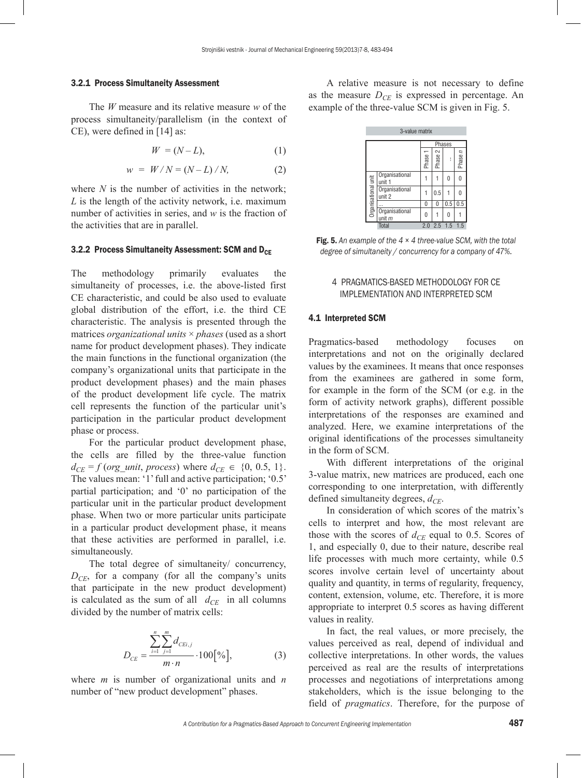#### 3.2.1 Process Simultaneity Assessment

The *W* measure and its relative measure *w* of the process simultaneity/parallelism (in the context of CE), were defined in [14] as:

$$
W = (N - L), \tag{1}
$$

$$
w = W/N = (N - L)/N, \tag{2}
$$

where *N* is the number of activities in the network: *L* is the length of the activity network, i.e. maximum number of activities in series, and *w* is the fraction of the activities that are in parallel.

#### 3.2.2 Process Simultaneity Assessment: SCM and  $D_{CF}$

The methodology primarily evaluates the simultaneity of processes, i.e. the above-listed first CE characteristic, and could be also used to evaluate global distribution of the effort, i.e. the third CE characteristic. The analysis is presented through the matrices *organizational units* × *phases* (used as a short name for product development phases). They indicate the main functions in the functional organization (the company's organizational units that participate in the product development phases) and the main phases of the product development life cycle. The matrix cell represents the function of the particular unit's participation in the particular product development phase or process.

For the particular product development phase, the cells are filled by the three-value function  $d_{CE} = f(org\_unit, process)$  where  $d_{CE} \in \{0, 0.5, 1\}.$ The values mean: '1' full and active participation; '0.5' partial participation; and '0' no participation of the particular unit in the particular product development phase. When two or more particular units participate in a particular product development phase, it means that these activities are performed in parallel, i.e. simultaneously.

The total degree of simultaneity/ concurrency, *DCE*, for a company (for all the company's units that participate in the new product development) is calculated as the sum of all  $d_{CE}$  in all columns divided by the number of matrix cells:

$$
D_{CE} = \frac{\sum_{i=1}^{n} \sum_{j=1}^{m} d_{CEi,j}}{m \cdot n} \cdot 100\Big[\% \Big],\tag{3}
$$

where *m* is number of organizational units and *n* number of "new product development" phases.

A relative measure is not necessary to define as the measure  $D_{CE}$  is expressed in percentage. An example of the three-value SCM is given in Fig. 5.

| 3-value matrix      |                                 |         |         |                |         |  |  |  |  |
|---------------------|---------------------------------|---------|---------|----------------|---------|--|--|--|--|
|                     | Phases                          |         |         |                |         |  |  |  |  |
|                     |                                 | Phase 1 | Phase 2 | ł              | Phase n |  |  |  |  |
| Organisational unit | Organisational<br>unit 1        |         |         | $\overline{0}$ |         |  |  |  |  |
|                     | Organisational<br>unit 2        | 1       | 0.5     |                |         |  |  |  |  |
|                     |                                 | 0       | 0       | 0.5            | 0.5     |  |  |  |  |
|                     | Organisational<br>unit <i>m</i> | 0       |         | $\Omega$       |         |  |  |  |  |
|                     | Total                           | 2.0     | 2.5     | 1.5            | 1.5     |  |  |  |  |

Fig. 5. *An example of the 4 × 4 three-value SCM, with the total degree of simultaneity / concurrency for a company of 47%.*

## 4 PRAGMATICS-BASED METHODOLOGY FOR CE IMPLEMENTATION AND INTERPRETED SCM

#### 4.1 Interpreted SCM

Pragmatics-based methodology focuses on interpretations and not on the originally declared values by the examinees. It means that once responses from the examinees are gathered in some form, for example in the form of the SCM (or e.g. in the form of activity network graphs), different possible interpretations of the responses are examined and analyzed. Here, we examine interpretations of the original identifications of the processes simultaneity in the form of SCM.

With different interpretations of the original 3-value matrix, new matrices are produced, each one corresponding to one interpretation, with differently defined simultaneity degrees,  $d_{CE}$ .

In consideration of which scores of the matrix's cells to interpret and how, the most relevant are those with the scores of  $d_{CE}$  equal to 0.5. Scores of 1, and especially 0, due to their nature, describe real life processes with much more certainty, while 0.5 scores involve certain level of uncertainty about quality and quantity, in terms of regularity, frequency, content, extension, volume, etc. Therefore, it is more appropriate to interpret 0.5 scores as having different values in reality.

In fact, the real values, or more precisely, the values perceived as real, depend of individual and collective interpretations. In other words, the values perceived as real are the results of interpretations processes and negotiations of interpretations among stakeholders, which is the issue belonging to the field of *pragmatics*. Therefore, for the purpose of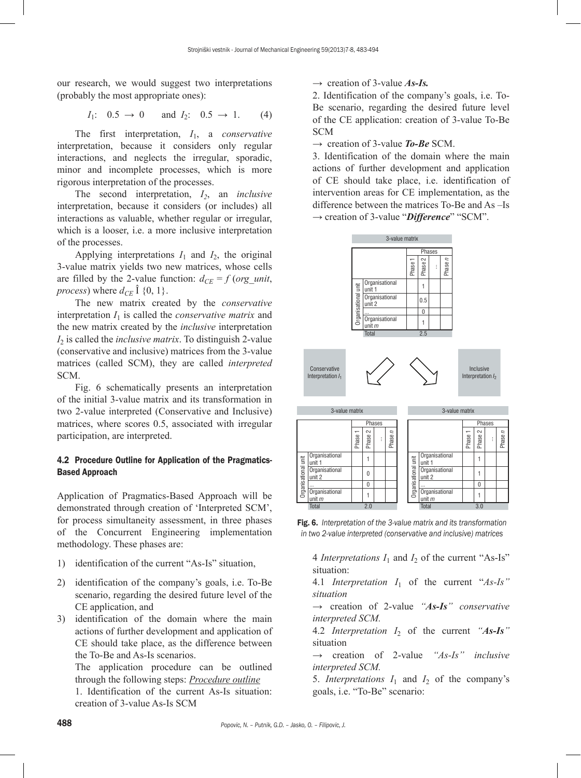our research, we would suggest two interpretations (probably the most appropriate ones):

$$
I_1
$$
: 0.5  $\rightarrow$  0 and  $I_2$ : 0.5  $\rightarrow$  1. (4)

The first interpretation, *I*1, a *conservative* interpretation, because it considers only regular interactions, and neglects the irregular, sporadic, minor and incomplete processes, which is more rigorous interpretation of the processes.

The second interpretation, *I2*, an *inclusive* interpretation, because it considers (or includes) all interactions as valuable, whether regular or irregular, which is a looser, i.e. a more inclusive interpretation of the processes.

Applying interpretations  $I_1$  and  $I_2$ , the original 3-value matrix yields two new matrices, whose cells are filled by the 2-value function:  $d_{CE} = f (org unit,$ *process*) where  $d_{CE}$   $\hat{I}$  {0, 1}.

The new matrix created by the *conservative* interpretation  $I_1$  is called the *conservative matrix* and the new matrix created by the *inclusive* interpretation *I*<sub>2</sub> is called the *inclusive matrix*. To distinguish 2-value (conservative and inclusive) matrices from the 3-value matrices (called SCM), they are called *interpreted* SCM.

Fig. 6 schematically presents an interpretation of the initial 3-value matrix and its transformation in two 2-value interpreted (Conservative and Inclusive) matrices, where scores 0.5, associated with irregular participation, are interpreted.

## 4.2 Procedure Outline for Application of the Pragmatics-Based Approach

Application of Pragmatics-Based Approach will be demonstrated through creation of 'Interpreted SCM', for process simultaneity assessment, in three phases of the Concurrent Engineering implementation methodology. These phases are:

- 1) identification of the current "As-Is" situation,
- 2) identification of the company's goals, i.e. To-Be scenario, regarding the desired future level of the CE application, and
- 3) identification of the domain where the main actions of further development and application of CE should take place, as the difference between the To-Be and As-Is scenarios.

The application procedure can be outlined through the following steps: *Procedure outline*

1. Identification of the current As-Is situation: creation of 3-value As-Is SCM

 $\rightarrow$  creation of 3-value *As-Is.* 

2. Identification of the company's goals, i.e. To-Be scenario, regarding the desired future level of the CE application: creation of 3-value To-Be SCM

→ creation of 3-value *To-Be* SCM.

3. Identification of the domain where the main actions of further development and application of CE should take place, i.e. identification of intervention areas for CE implementation, as the difference between the matrices To-Be and As –Is → creation of 3-value "*Difference*" "SCM".



Fig. 6. *Interpretation of the 3-value matrix and its transformation in two 2-value interpreted (conservative and inclusive) matrices*

4 *Interpretations*  $I_1$  and  $I_2$  of the current "As-Is" situation:

4.1 *Interpretation I*<sup>1</sup> of the current "*As-Is" situation* 

→ creation of 2-value *"As-Is" conservative interpreted SCM.*

4.2 *Interpretation*  $I_2$  of the current "*As-Is*" situation

→ creation of 2-value *"As-Is" inclusive interpreted SCM.*

5. *Interpretations*  $I_1$  and  $I_2$  of the company's goals, i.e. "To-Be" scenario: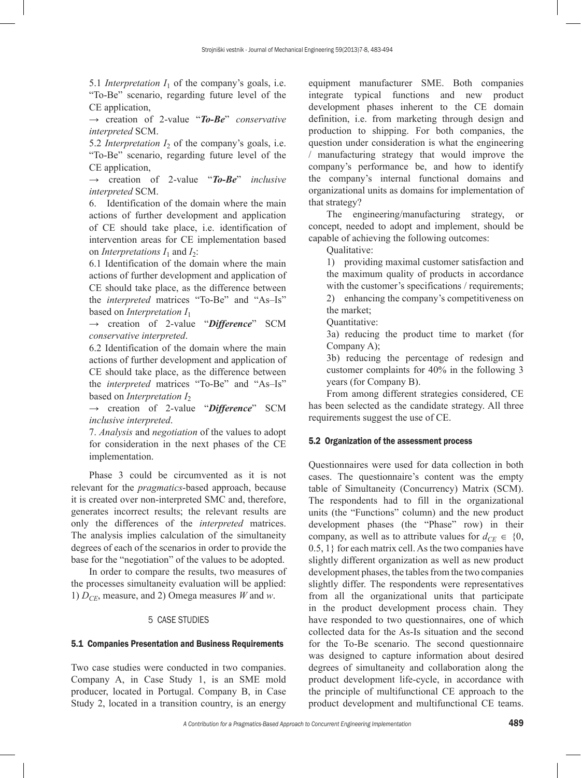5.1 *Interpretation*  $I_1$  of the company's goals, i.e. "To-Be" scenario, regarding future level of the CE application,

→ creation of 2-value "*To-Be*" *conservative interpreted* SCM.

5.2 *Interpretation*  $I_2$  of the company's goals, i.e. "To-Be" scenario, regarding future level of the CE application,

→ creation of 2-value "*To-Be*" *inclusive interpreted* SCM.

6. Identification of the domain where the main actions of further development and application of CE should take place, i.e. identification of intervention areas for CE implementation based on *Interpretations*  $I_1$  and  $I_2$ :

6.1 Identification of the domain where the main actions of further development and application of CE should take place, as the difference between the *interpreted* matrices "To-Be" and "As–Is" based on *Interpretation I*<sup>1</sup>

→ creation of 2-value "*Difference*" SCM *conservative interpreted*.

6.2 Identification of the domain where the main actions of further development and application of CE should take place, as the difference between the *interpreted* matrices "To-Be" and "As–Is" based on *Interpretation I*<sub>2</sub>

→ creation of 2-value "*Difference*" SCM *inclusive interpreted*.

7. *Analysis* and *negotiation* of the values to adopt for consideration in the next phases of the CE implementation.

Phase 3 could be circumvented as it is not relevant for the *pragmatics*-based approach, because it is created over non-interpreted SMC and, therefore, generates incorrect results; the relevant results are only the differences of the *interpreted* matrices. The analysis implies calculation of the simultaneity degrees of each of the scenarios in order to provide the base for the "negotiation" of the values to be adopted.

In order to compare the results, two measures of the processes simultaneity evaluation will be applied: 1) *DCE*, measure, and 2) Omega measures *W* and *w*.

#### 5 CASE STUDIES

#### 5.1 Companies Presentation and Business Requirements

Two case studies were conducted in two companies. Company A, in Case Study 1, is an SME mold producer, located in Portugal. Company B, in Case Study 2, located in a transition country, is an energy equipment manufacturer SME. Both companies integrate typical functions and new product development phases inherent to the CE domain definition, i.e. from marketing through design and production to shipping. For both companies, the question under consideration is what the engineering / manufacturing strategy that would improve the company's performance be, and how to identify the company's internal functional domains and organizational units as domains for implementation of that strategy?

The engineering/manufacturing strategy, or concept, needed to adopt and implement, should be capable of achieving the following outcomes:

Qualitative:

1) providing maximal customer satisfaction and the maximum quality of products in accordance with the customer's specifications / requirements; 2) enhancing the company's competitiveness on the market;

Quantitative:

3a) reducing the product time to market (for Company A);

3b) reducing the percentage of redesign and customer complaints for 40% in the following 3 years (for Company B).

From among different strategies considered, CE has been selected as the candidate strategy. All three requirements suggest the use of CE.

#### 5.2 Organization of the assessment process

Questionnaires were used for data collection in both cases. The questionnaire's content was the empty table of Simultaneity (Concurrency) Matrix (SCM). The respondents had to fill in the organizational units (the "Functions" column) and the new product development phases (the "Phase" row) in their company, as well as to attribute values for  $d_{CE} \in \{0,$ 0.5, 1} for each matrix cell. As the two companies have slightly different organization as well as new product development phases, the tables from the two companies slightly differ. The respondents were representatives from all the organizational units that participate in the product development process chain. They have responded to two questionnaires, one of which collected data for the As-Is situation and the second for the To-Be scenario. The second questionnaire was designed to capture information about desired degrees of simultaneity and collaboration along the product development life-cycle, in accordance with the principle of multifunctional CE approach to the product development and multifunctional CE teams.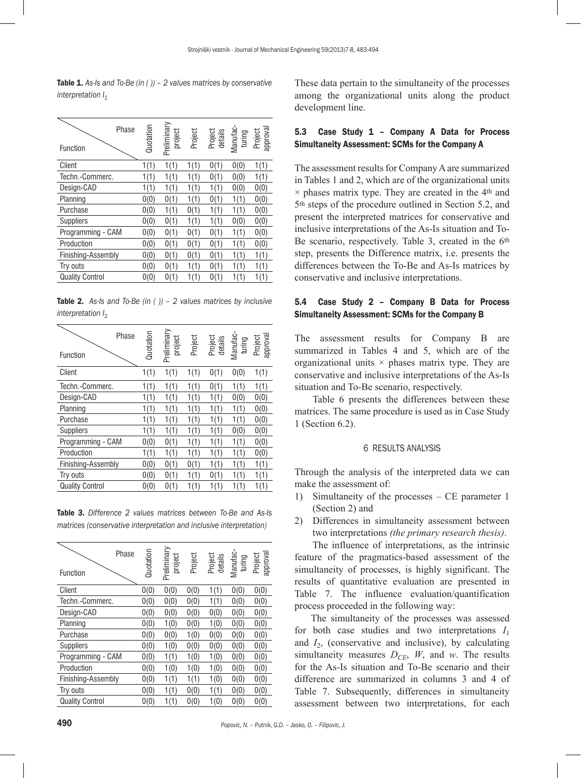Table 1. *As-Is and To-Be (in ( )) – 2 values matrices by conservative interpretation I1*

| Phase<br>Function      | Quotation | Preliminary<br>project | Project |      | Project<br>details<br>Manufac-<br>turing<br>project<br>Project |      |
|------------------------|-----------|------------------------|---------|------|----------------------------------------------------------------|------|
| Client                 | 1(1)      | 1(1)                   | 1(1)    | 0(1) | 0(0)                                                           | 1(1) |
| Techn.-Commerc.        | 1(1)      | 1(1)                   | 1(1)    | 0(1) | 0(0)                                                           | 1(1) |
| Design-CAD             | 1(1)      | 1(1)                   | 1(1)    | 1(1) | 0(0)                                                           | 0(0) |
| Planning               | 0(0)      | 0(1)                   | 1(1)    | 0(1) | 1(1)                                                           | 0(0) |
| Purchase               | 0(0)      | 1(1)                   | 0(1)    | 1(1) | 1(1)                                                           | 0(0) |
| <b>Suppliers</b>       | 0(0)      | 0(1)                   | 1(1)    | 1(1) | 0(0)                                                           | 0(0) |
| Programming - CAM      | 0(0)      | 0(1)                   | 0(1)    | 0(1) | 1(1)                                                           | 0(0) |
| Production             | 0(0)      | 0(1)                   | 0(1)    | 0(1) | 1(1)                                                           | 0(0) |
| Finishing-Assembly     | 0(0)      | 0(1)                   | 0(1)    | 0(1) | 1(1)                                                           | 1(1) |
| Try outs               | 0(0)      | 0(1)                   | 1(1)    | 0(1) | 1(1)                                                           | 1(1) |
| <b>Quality Control</b> | 0(0)      | 0(1)                   | 1(1)    | 0(1) | 1(1)                                                           | 1(1) |
|                        |           |                        |         |      |                                                                |      |

Table 2. *As-Is and To-Be (in ( )) – 2 values matrices by inclusive interpretation I<sub>2</sub>* 

| Phase<br>Function      | Quotation | Preliminary<br>project | Project |      | Project<br>details<br>Manufac-<br>turing<br>Project<br>Project |      |
|------------------------|-----------|------------------------|---------|------|----------------------------------------------------------------|------|
| Client                 | 1(1)      | 1(1)                   | 1(1)    | 0(1) | 0(0)                                                           | 1(1) |
| Techn.-Commerc.        | 1(1)      | 1(1)                   | 1(1)    | 0(1) | 1(1)                                                           | 1(1) |
| Design-CAD             | 1(1)      | 1(1)                   | 1(1)    | 1(1) | 0(0)                                                           | 0(0) |
| Planning               | 1(1)      | 1(1)                   | 1(1)    | 1(1) | 1(1)                                                           | 0(0) |
| Purchase               | 1(1)      | 1(1)                   | 1(1)    | 1(1) | 1(1)                                                           | 0(0) |
| <b>Suppliers</b>       | 1(1)      | 1(1)                   | 1(1)    | 1(1) | 0(0)                                                           | 0(0) |
| Programming - CAM      | 0(0)      | 0(1)                   | 1(1)    | 1(1) | 1(1)                                                           | 0(0) |
| Production             | 1(1)      | 1(1)                   | 1(1)    | 1(1) | 1(1)                                                           | 0(0) |
| Finishing-Assembly     | 0(0)      | 0(1)                   | 0(1)    | 1(1) | 1(1)                                                           | 1(1) |
| Try outs               | 0(0)      | 0(1)                   | 1(1)    | 0(1) | 1(1)                                                           | 1(1) |
| <b>Quality Control</b> | 0(0)      | 0(1)                   | 1(1)    | 1(1) | 1(1)                                                           | 1(1) |

Table 3. *Difference 2 values matrices between To-Be and As-Is matrices (conservative interpretation and inclusive interpretation)*

| Phase<br>Function      | Quotation | Preliminary<br>project | Project |      | Project<br>details<br>Manufac-<br>turing<br>Project<br>Project |      |
|------------------------|-----------|------------------------|---------|------|----------------------------------------------------------------|------|
| Client                 | 0(0)      | 0(0)                   | 0(0)    | 1(1) | 0(0)                                                           | 0(0) |
| Techn.-Commerc.        | 0(0)      | 0(0)                   | 0(0)    | 1(1) | 0(0)                                                           | 0(0) |
| Design-CAD             | 0(0)      | 0(0)                   | 0(0)    | 0(0) | 0(0)                                                           | 0(0) |
| Planning               | 0(0)      | 1(0)                   | 0(0)    | 1(0) | 0(0)                                                           | 0(0) |
| Purchase               | 0(0)      | 0(0)                   | 1(0)    | 0(0) | 0(0)                                                           | 0(0) |
| Suppliers              | 0(0)      | 1(0)                   | 0(0)    | 0(0) | 0(0)                                                           | 0(0) |
| Programming - CAM      | 0(0)      | 1(1)                   | 1(0)    | 1(0) | 0(0)                                                           | 0(0) |
| Production             | 0(0)      | 1(0)                   | 1(0)    | 1(0) | 0(0)                                                           | 0(0) |
| Finishing-Assembly     | 0(0)      | 1(1)                   | 1(1)    | 1(0) | 0(0)                                                           | 0(0) |
| Try outs               | 0(0)      | 1(1)                   | 0(0)    | 1(1) | 0(0)                                                           | 0(0) |
| <b>Quality Control</b> | 0(0)      | 1(1)                   | 0(0)    | 1(0) | 0(0)                                                           | 0(0) |
|                        |           |                        |         |      |                                                                |      |

These data pertain to the simultaneity of the processes among the organizational units along the product development line.

# 5.3 Case Study 1 – Company A Data for Process Simultaneity Assessment: SCMs for the Company A

The assessment results for Company A are summarized in Tables 1 and 2, which are of the organizational units  $\times$  phases matrix type. They are created in the 4<sup>th</sup> and 5th steps of the procedure outlined in Section 5.2, and present the interpreted matrices for conservative and inclusive interpretations of the As-Is situation and To-Be scenario, respectively. Table 3, created in the 6th step, presents the Difference matrix, i.e. presents the differences between the To-Be and As-Is matrices by conservative and inclusive interpretations.

# 5.4 Case Study 2 – Company B Data for Process Simultaneity Assessment: SCMs for the Company B

The assessment results for Company B are summarized in Tables 4 and 5, which are of the organizational units  $\times$  phases matrix type. They are conservative and inclusive interpretations of the As-Is situation and To-Be scenario, respectively.

Table 6 presents the differences between these matrices. The same procedure is used as in Case Study 1 (Section 6.2).

#### 6 RESULTS ANALYSIS

Through the analysis of the interpreted data we can make the assessment of:

- 1) Simultaneity of the processes CE parameter 1 (Section 2) and
- 2) Differences in simultaneity assessment between two interpretations *(the primary research thesis)*.

The influence of interpretations, as the intrinsic feature of the pragmatics-based assessment of the simultaneity of processes, is highly significant. The results of quantitative evaluation are presented in Table 7. The influence evaluation/quantification process proceeded in the following way:

The simultaneity of the processes was assessed for both case studies and two interpretations  $I_1$ and  $I_2$ , (conservative and inclusive), by calculating simultaneity measures  $D_{CE}$ , *W*, and *w*. The results for the As-Is situation and To-Be scenario and their difference are summarized in columns 3 and 4 of Table 7. Subsequently, differences in simultaneity assessment between two interpretations, for each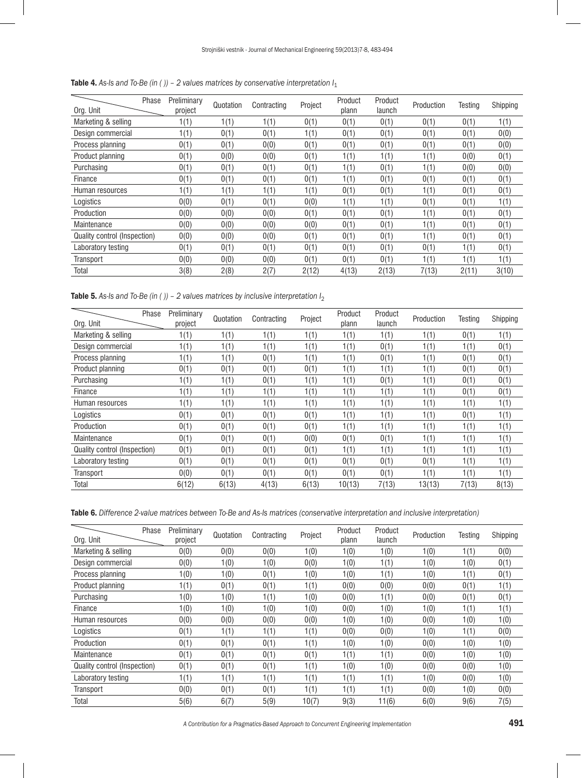| Org. Unit                    | Phase | Preliminary<br>project | Quotation | Contracting | Project | Product<br>plann | Product<br>launch | Production | Testing | Shipping |
|------------------------------|-------|------------------------|-----------|-------------|---------|------------------|-------------------|------------|---------|----------|
| Marketing & selling          |       | 1(1)                   | 1(1)      | 1(1)        | 0(1)    | 0(1)             | 0(1)              | 0(1)       | 0(1)    | 1(1)     |
| Design commercial            |       | 1(1)                   | 0(1)      | 0(1)        | 1(1)    | 0(1)             | 0(1)              | 0(1)       | 0(1)    | 0(0)     |
| Process planning             |       | 0(1)                   | 0(1)      | 0(0)        | 0(1)    | 0(1)             | 0(1)              | 0(1)       | 0(1)    | 0(0)     |
| Product planning             |       | 0(1)                   | 0(0)      | 0(0)        | 0(1)    | 1(1)             | 1(1)              | 1(1)       | 0(0)    | 0(1)     |
| Purchasing                   |       | 0(1)                   | 0(1)      | 0(1)        | 0(1)    | 1(1)             | 0(1)              | 1(1)       | 0(0)    | 0(0)     |
| Finance                      |       | 0(1)                   | 0(1)      | 0(1)        | 0(1)    | 1(1)             | 0(1)              | 0(1)       | 0(1)    | 0(1)     |
| Human resources              |       | 1(1)                   | 1(1)      | 1(1)        | 1(1)    | 0(1)             | 0(1)              | 1(1)       | 0(1)    | 0(1)     |
| Logistics                    |       | 0(0)                   | 0(1)      | 0(1)        | 0(0)    | 1(1)             | 1(1)              | 0(1)       | 0(1)    | 1(1)     |
| Production                   |       | 0(0)                   | 0(0)      | 0(0)        | 0(1)    | 0(1)             | 0(1)              | 1(1)       | 0(1)    | 0(1)     |
| Maintenance                  |       | 0(0)                   | 0(0)      | 0(0)        | 0(0)    | 0(1)             | 0(1)              | 1(1)       | 0(1)    | 0(1)     |
| Quality control (Inspection) |       | 0(0)                   | 0(0)      | 0(0)        | 0(1)    | 0(1)             | 0(1)              | 1(1)       | 0(1)    | 0(1)     |
| Laboratory testing           |       | 0(1)                   | 0(1)      | 0(1)        | 0(1)    | 0(1)             | 0(1)              | 0(1)       | 1(1)    | 0(1)     |
| Transport                    |       | 0(0)                   | 0(0)      | 0(0)        | 0(1)    | 0(1)             | 0(1)              | 1(1)       | 1(1)    | 1(1)     |
| Total                        |       | 3(8)                   | 2(8)      | 2(7)        | 2(12)   | 4(13)            | 2(13)             | 7(13)      | 2(11)   | 3(10)    |

Table 4. As-Is and To-Be (in ( )) - 2 values matrices by conservative interpretation I<sub>1</sub>

Table 5. As-Is and To-Be (in ( )) – 2 values matrices by inclusive interpretation I<sub>2</sub>

| Org. Unit                    | Phase | Preliminary<br>project | Quotation | Contracting | Project | Product<br>plann | Product<br>launch | Production | Testing | Shipping |
|------------------------------|-------|------------------------|-----------|-------------|---------|------------------|-------------------|------------|---------|----------|
| Marketing & selling          |       | 1 (1)                  | 1(1)      | 1(1)        | 1(1)    | 1(1)             | 1(1)              | 1(1)       | 0(1)    | 1(1)     |
| Design commercial            |       | 1(1)                   | 1(1)      | 1(1)        | 1(1)    | 1(1)             | 0(1)              | 1(1)       | 1(1)    | 0(1)     |
| Process planning             |       | 1(1)                   | 1(1)      | 0(1)        | 1(1)    | 1(1)             | 0(1)              | 1(1)       | 0(1)    | 0(1)     |
| Product planning             |       | 0(1)                   | 0(1)      | 0(1)        | 0(1)    | 1(1)             | 1(1)              | 1(1)       | 0(1)    | 0(1)     |
| Purchasing                   |       | 1(1)                   | 1(1)      | 0(1)        | 1(1)    | 1(1)             | 0(1)              | 1(1)       | 0(1)    | 0(1)     |
| Finance                      |       | 1(1)                   | 1(1)      | 1(1)        | 1(1)    | 1(1)             | 1(1)              | 1(1)       | 0(1)    | 0(1)     |
| Human resources              |       | 1(1)                   | 1(1)      | 1(1)        | 1(1)    | 1(1)             | 1(1)              | 1(1)       | 1(1)    | 1(1)     |
| Logistics                    |       | 0(1)                   | 0(1)      | 0(1)        | 0(1)    | 1(1)             | 1(1)              | 1(1)       | 0(1)    | 1(1)     |
| Production                   |       | 0(1)                   | 0(1)      | 0(1)        | 0(1)    | 1(1)             | 1(1)              | 1(1)       | 1(1)    | 1(1)     |
| Maintenance                  |       | 0(1)                   | 0(1)      | 0(1)        | 0(0)    | 0(1)             | 0(1)              | 1(1)       | 1(1)    | 1(1)     |
| Quality control (Inspection) |       | 0(1)                   | 0(1)      | 0(1)        | 0(1)    | 1(1)             | 1(1)              | 1(1)       | 1(1)    | 1(1)     |
| Laboratory testing           |       | 0(1)                   | 0(1)      | 0(1)        | 0(1)    | 0(1)             | 0(1)              | 0(1)       | 1(1)    | 1(1)     |
| Transport                    |       | 0(0)                   | 0(1)      | 0(1)        | 0(1)    | 0(1)             | 0(1)              | 1(1)       | 1(1)    | 1(1)     |
| Total                        |       | 6(12)                  | 6(13)     | 4(13)       | 6(13)   | 10(13)           | 7(13)             | 13(13)     | 7(13)   | 8(13)    |

| Table 6. Difference 2-value matrices between To-Be and As-Is matrices (conservative interpretation and inclusive interpretation) |  |  |
|----------------------------------------------------------------------------------------------------------------------------------|--|--|
|----------------------------------------------------------------------------------------------------------------------------------|--|--|

| Org. Unit                    | Phase | Preliminary<br>project | Quotation | Contracting | Project | Product<br>plann | Product<br>launch | Production | Testing | Shipping |
|------------------------------|-------|------------------------|-----------|-------------|---------|------------------|-------------------|------------|---------|----------|
| Marketing & selling          |       | 0(0)                   | 0(0)      | 0(0)        | 1(0)    | 1(0)             | 1(0)              | 1(0)       | 1(1)    | 0(0)     |
| Design commercial            |       | 0(0)                   | 1(0)      | 1(0)        | 0(0)    | 1(0)             | 1(1)              | 1(0)       | 1(0)    | 0(1)     |
| Process planning             |       | 1(0)                   | 1(0)      | 0(1)        | 1(0)    | 1(0)             | 1(1)              | 1(0)       | 1(1)    | 0(1)     |
| Product planning             |       | 1(1)                   | 0(1)      | 0(1)        | 1(1)    | 0(0)             | 0(0)              | 0(0)       | 0(1)    | 1(1)     |
| Purchasing                   |       | 1(0)                   | 1(0)      | 1(1)        | 1(0)    | 0(0)             | 1(1)              | 0(0)       | 0(1)    | 0(1)     |
| Finance                      |       | 1(0)                   | 1(0)      | 1(0)        | 1(0)    | 0(0)             | 1(0)              | 1(0)       | 1(1)    | 1(1)     |
| Human resources              |       | 0(0)                   | 0(0)      | 0(0)        | 0(0)    | 1(0)             | 1(0)              | 0(0)       | 1(0)    | 1(0)     |
| Logistics                    |       | 0(1)                   | 1(1)      | 1(1)        | 1(1)    | 0(0)             | 0(0)              | 1(0)       | 1(1)    | 0(0)     |
| Production                   |       | 0(1)                   | 0(1)      | 0(1)        | 1(1)    | 1(0)             | 1(0)              | 0(0)       | 1(0)    | 1(0)     |
| Maintenance                  |       | 0(1)                   | 0(1)      | 0(1)        | 0(1)    | 1(1)             | 1(1)              | 0(0)       | 1(0)    | 1(0)     |
| Quality control (Inspection) |       | 0(1)                   | 0(1)      | 0(1)        | 1(1)    | 1(0)             | 1(0)              | 0(0)       | 0(0)    | 1(0)     |
| Laboratory testing           |       | 1(1)                   | 1(1)      | 1(1)        | 1(1)    | 1(1)             | 1(1)              | 1(0)       | 0(0)    | 1(0)     |
| Transport                    |       | 0(0)                   | 0(1)      | 0(1)        | 1(1)    | 1(1)             | 1(1)              | 0(0)       | 1(0)    | 0(0)     |
| Total                        |       | 5(6)                   | 6(7)      | 5(9)        | 10(7)   | 9(3)             | 11(6)             | 6(0)       | 9(6)    | 7(5)     |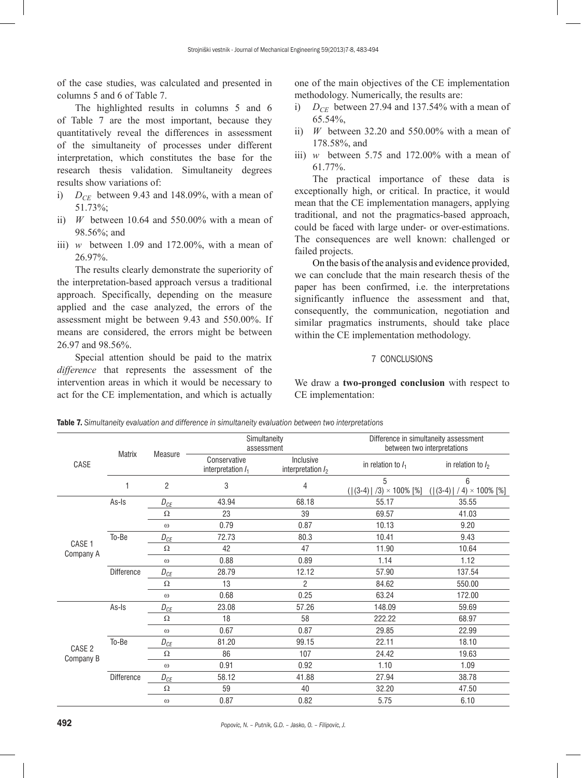of the case studies, was calculated and presented in columns 5 and 6 of Table 7.

The highlighted results in columns 5 and 6 of Table 7 are the most important, because they quantitatively reveal the differences in assessment of the simultaneity of processes under different interpretation, which constitutes the base for the research thesis validation. Simultaneity degrees results show variations of:

- i)  $D_{CE}$  between 9.43 and 148.09%, with a mean of 51.73%;
- ii) *W* between 10.64 and 550.00% with a mean of 98.56%; and
- iii) *w* between 1.09 and 172.00%, with a mean of 26.97%.

The results clearly demonstrate the superiority of the interpretation-based approach versus a traditional approach. Specifically, depending on the measure applied and the case analyzed, the errors of the assessment might be between 9.43 and 550.00%. If means are considered, the errors might be between 26.97 and 98.56%.

Special attention should be paid to the matrix *difference* that represents the assessment of the intervention areas in which it would be necessary to act for the CE implementation, and which is actually one of the main objectives of the CE implementation methodology. Numerically, the results are:

- i)  $D_{CE}$  between 27.94 and 137.54% with a mean of 65.54%,
- ii) *W* between 32.20 and 550.00% with a mean of 178.58%, and
- iii) *w* between 5.75 and 172.00% with a mean of 61.77%.

The practical importance of these data is exceptionally high, or critical. In practice, it would mean that the CE implementation managers, applying traditional, and not the pragmatics-based approach, could be faced with large under- or over-estimations. The consequences are well known: challenged or failed projects.

On the basis of the analysis and evidence provided, we can conclude that the main research thesis of the paper has been confirmed, i.e. the interpretations significantly influence the assessment and that, consequently, the communication, negotiation and similar pragmatics instruments, should take place within the CE implementation methodology.

## 7 CONCLUSIONS

We draw a **two-pronged conclusion** with respect to CE implementation:

|                                | Matrix            | Measure        |                                                                           | Simultaneity<br>assessment | Difference in simultaneity assessment<br>between two interpretations |                                       |  |
|--------------------------------|-------------------|----------------|---------------------------------------------------------------------------|----------------------------|----------------------------------------------------------------------|---------------------------------------|--|
| CASE                           |                   |                | Conservative<br>Inclusive<br>interpretation $I_1$<br>interpretation $I_2$ |                            | in relation to $I_1$                                                 | in relation to $I_2$                  |  |
|                                | $\overline{1}$    | $\overline{c}$ | 3                                                                         | 4                          | 5<br>$( (3-4) /3) \times 100\%$ [%]                                  | 6<br>$( (3-4)  / 4) \times 100\%$ [%] |  |
|                                | As-Is             | $D_{CE}$       | 43.94                                                                     | 68.18                      | 55.17                                                                | 35.55                                 |  |
|                                |                   | $\Omega$       | 23                                                                        | 39                         | 69.57                                                                | 41.03                                 |  |
|                                |                   | $\omega$       | 0.79                                                                      | 0.87                       | 10.13                                                                | 9.20                                  |  |
|                                | To-Be             | $D_{CE}$       | 72.73                                                                     | 80.3                       | 10.41                                                                | 9.43                                  |  |
| CASE <sub>1</sub><br>Company A |                   | Ω              | 42                                                                        | 47                         | 11.90                                                                | 10.64                                 |  |
|                                |                   | $\omega$       | 0.88                                                                      | 0.89                       | 1.14                                                                 | 1.12                                  |  |
|                                | <b>Difference</b> | $D_{CE}$       | 28.79                                                                     | 12.12                      | 57.90                                                                | 137.54                                |  |
|                                |                   | Ω              | 13                                                                        | $\overline{2}$             | 84.62                                                                | 550.00                                |  |
|                                |                   | $\omega$       | 0.68                                                                      | 0.25                       | 63.24                                                                | 172.00                                |  |
|                                | As-Is             | $D_{CE}$       | 23.08                                                                     | 57.26                      | 148.09                                                               | 59.69                                 |  |
|                                |                   | $\Omega$       | 18                                                                        | 58                         | 222.22                                                               | 68.97                                 |  |
|                                |                   | $\omega$       | 0.67                                                                      | 0.87                       | 29.85                                                                | 22.99                                 |  |
| CASE <sub>2</sub>              | To-Be             | $D_{CE}$       | 81.20                                                                     | 99.15                      | 22.11                                                                | 18.10                                 |  |
| Company B                      |                   | $\Omega$       | 86                                                                        | 107                        | 24.42                                                                | 19.63                                 |  |
|                                |                   | $\omega$       | 0.91                                                                      | 0.92                       | 1.10                                                                 | 1.09                                  |  |
|                                | <b>Difference</b> | $D_{CE}$       | 58.12                                                                     | 41.88                      | 27.94                                                                | 38.78                                 |  |
|                                |                   | Ω              | 59                                                                        | 40                         | 32.20                                                                | 47.50                                 |  |
|                                |                   | $\omega$       | 0.87                                                                      | 0.82                       | 5.75                                                                 | 6.10                                  |  |

Table 7. *Simultaneity evaluation and difference in simultaneity evaluation between two interpretations*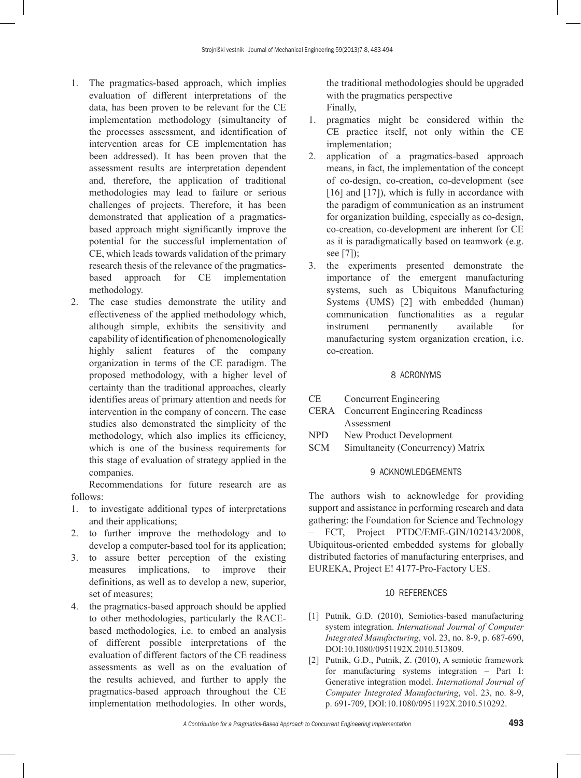- 1. The pragmatics-based approach, which implies evaluation of different interpretations of the data, has been proven to be relevant for the CE implementation methodology (simultaneity of the processes assessment, and identification of intervention areas for CE implementation has been addressed). It has been proven that the assessment results are interpretation dependent and, therefore, the application of traditional methodologies may lead to failure or serious challenges of projects. Therefore, it has been demonstrated that application of a pragmaticsbased approach might significantly improve the potential for the successful implementation of CE, which leads towards validation of the primary research thesis of the relevance of the pragmaticsbased approach for CE implementation methodology.
- 2. The case studies demonstrate the utility and effectiveness of the applied methodology which, although simple, exhibits the sensitivity and capability of identification of phenomenologically highly salient features of the company organization in terms of the CE paradigm. The proposed methodology, with a higher level of certainty than the traditional approaches, clearly identifies areas of primary attention and needs for intervention in the company of concern. The case studies also demonstrated the simplicity of the methodology, which also implies its efficiency, which is one of the business requirements for this stage of evaluation of strategy applied in the companies.

Recommendations for future research are as follows:

- 1. to investigate additional types of interpretations and their applications;
- 2. to further improve the methodology and to develop a computer-based tool for its application;
- 3. to assure better perception of the existing measures implications, to improve their definitions, as well as to develop a new, superior, set of measures;
- 4. the pragmatics-based approach should be applied to other methodologies, particularly the RACEbased methodologies, i.e. to embed an analysis of different possible interpretations of the evaluation of different factors of the CE readiness assessments as well as on the evaluation of the results achieved, and further to apply the pragmatics-based approach throughout the CE implementation methodologies. In other words,

the traditional methodologies should be upgraded with the pragmatics perspective Finally,

- 1. pragmatics might be considered within the CE practice itself, not only within the CE implementation;
- 2. application of a pragmatics-based approach means, in fact, the implementation of the concept of co-design, co-creation, co-development (see [16] and [17]), which is fully in accordance with the paradigm of communication as an instrument for organization building, especially as co-design, co-creation, co-development are inherent for CE as it is paradigmatically based on teamwork (e.g. see [7]);
- 3. the experiments presented demonstrate the importance of the emergent manufacturing systems, such as Ubiquitous Manufacturing Systems (UMS) [2] with embedded (human) communication functionalities as a regular instrument permanently available for manufacturing system organization creation, i.e. co-creation.

#### 8 ACRONYMS

- CE Concurrent Engineering
- CERA Concurrent Engineering Readiness Assessment
- NPD New Product Development
- SCM Simultaneity (Concurrency) Matrix

## 9 ACKNOWLEDGEMENTS

The authors wish to acknowledge for providing support and assistance in performing research and data gathering: the Foundation for Science and Technology – FCT, Project PTDC/EME-GIN/102143/2008, Ubiquitous-oriented embedded systems for globally distributed factories of manufacturing enterprises, and EUREKA, Project E! 4177-Pro-Factory UES.

## 10 REFERENCES

- [1] Putnik, G.D. (2010), Semiotics-based manufacturing system integration. *International Journal of Computer Integrated Manufacturing*, vol. 23, no. 8-9, p. 687-690, [DOI:10.1080/0951192X.2010.513809.](http://dx.doi.org/10.1080/0951192X.2010.513809)
- [2] Putnik, G.D., Putnik, Z. (2010), A semiotic framework for manufacturing systems integration – Part I: Generative integration model. *International Journal of Computer Integrated Manufacturing*, vol. 23, no. 8-9, p. 691-709, [DOI:10.1080/0951192X.2010.510292](http://dx.doi.org/10.1080/0951192X.2010.510292).